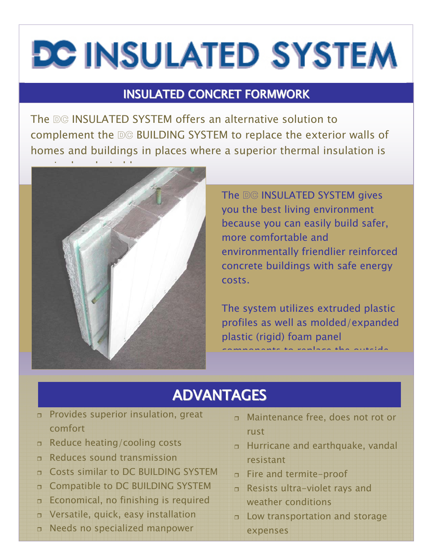# **DC INSULATED SYSTEM**

## INSULATED CONCRET FORMWORK

The DG INSULATED SYSTEM offers an alternative solution to complement the DG BUILDING SYSTEM to replace the exterior walls of homes and buildings in places where a superior thermal insulation is



The DG INSULATED SYSTEM gives you the best living environment because you can easily build safer, more comfortable and environmentally friendlier reinforced concrete buildings with safe energy costs.

The system utilizes extruded plastic profiles as well as molded/expanded plastic (rigid) foam panel components to replace the outside

## ADVANTAGES

- Provides superior insulation, great comfort
- Reduce heating/cooling costs
- Reduces sound transmission
- n Costs similar to DC BUILDING SYSTEM
- **D** Compatible to DC BUILDING SYSTEM
- Economical, no finishing is required
- Versatile, quick, easy installation
- Needs no specialized manpower
- Maintenance free, does not rot or rust
- Hurricane and earthquake, vandal resistant
- Fire and termite-proof
- Resists ultra-violet rays and weather conditions
- Low transportation and storage expenses